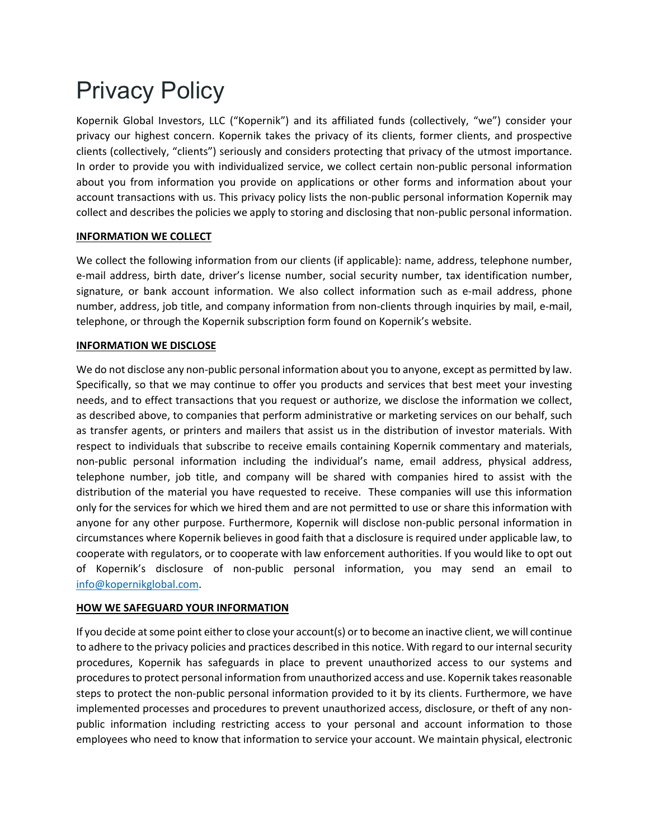# Privacy Policy

Kopernik Global Investors, LLC ("Kopernik") and its affiliated funds (collectively, "we") consider your privacy our highest concern. Kopernik takes the privacy of its clients, former clients, and prospective clients (collectively, "clients") seriously and considers protecting that privacy of the utmost importance. In order to provide you with individualized service, we collect certain non-public personal information about you from information you provide on applications or other forms and information about your account transactions with us. This privacy policy lists the non‐public personal information Kopernik may collect and describes the policies we apply to storing and disclosing that non‐public personal information.

## **INFORMATION WE COLLECT**

We collect the following information from our clients (if applicable): name, address, telephone number, e‐mail address, birth date, driver's license number, social security number, tax identification number, signature, or bank account information. We also collect information such as e-mail address, phone number, address, job title, and company information from non-clients through inquiries by mail, e-mail, telephone, or through the Kopernik subscription form found on Kopernik's website.

### **INFORMATION WE DISCLOSE**

We do not disclose any non-public personal information about you to anyone, except as permitted by law. Specifically, so that we may continue to offer you products and services that best meet your investing needs, and to effect transactions that you request or authorize, we disclose the information we collect, as described above, to companies that perform administrative or marketing services on our behalf, such as transfer agents, or printers and mailers that assist us in the distribution of investor materials. With respect to individuals that subscribe to receive emails containing Kopernik commentary and materials, non‐public personal information including the individual's name, email address, physical address, telephone number, job title, and company will be shared with companies hired to assist with the distribution of the material you have requested to receive. These companies will use this information only for the services for which we hired them and are not permitted to use or share this information with anyone for any other purpose. Furthermore, Kopernik will disclose non-public personal information in circumstances where Kopernik believes in good faith that a disclosure is required under applicable law, to cooperate with regulators, or to cooperate with law enforcement authorities. If you would like to opt out of Kopernik's disclosure of non‐public personal information, you may send an email to info@kopernikglobal.com.

### **HOW WE SAFEGUARD YOUR INFORMATION**

If you decide at some point either to close your account(s) or to become an inactive client, we will continue to adhere to the privacy policies and practices described in this notice. With regard to our internalsecurity procedures, Kopernik has safeguards in place to prevent unauthorized access to our systems and procedures to protect personal information from unauthorized access and use. Kopernik takes reasonable steps to protect the non-public personal information provided to it by its clients. Furthermore, we have implemented processes and procedures to prevent unauthorized access, disclosure, or theft of any nonpublic information including restricting access to your personal and account information to those employees who need to know that information to service your account. We maintain physical, electronic